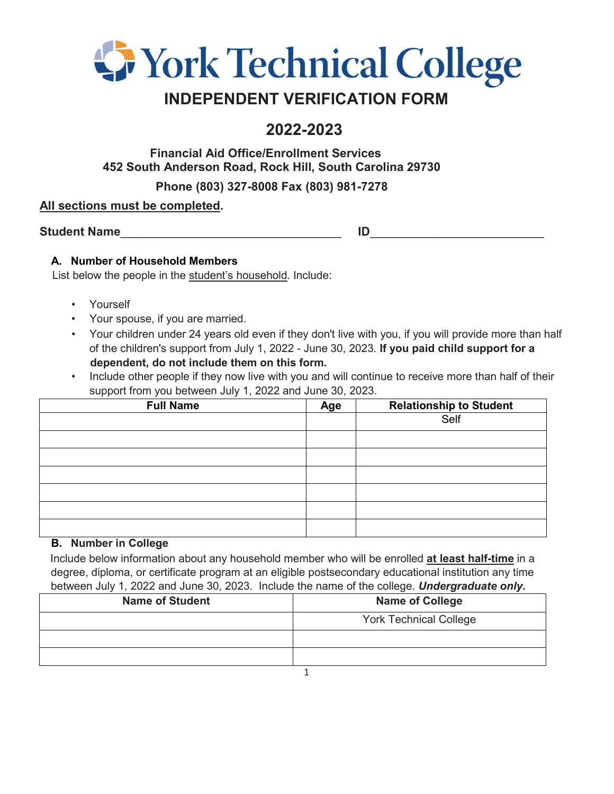

## **INDEPENDENT VERIFICATION FORM**

# **2022-2023**

**Financial Aid Office/Enrollment Services 452 South Anderson Road, Rock Hill, South Carolina 29730** 

**Phone (803) 327-8008 Fax (803) 981-7278**

## **All sections must be completed.**

Student Name

## **A. Number of Household Members**

List below the people in the student's household. Include:

- Yourself
- Your spouse, if you are married.
- Your children under 24 years old even if they don't live with you, if you will provide more than half of the children's support from July 1, 2022 - June 30, 2023. **If you paid child support for a dependent, do not include them on this form.**
- Include other people if they now live with you and will continue to receive more than half of their support from you between July 1, 2022 and June 30, 2023.

| <b>Full Name</b> | Age | <b>Relationship to Student</b><br>Self |
|------------------|-----|----------------------------------------|
|                  |     |                                        |
|                  |     |                                        |
|                  |     |                                        |
|                  |     |                                        |
|                  |     |                                        |
|                  |     |                                        |
|                  |     |                                        |

### **B. Number in College**

Include below information about any household member who will be enrolled **at least half-time** in a degree, diploma, or certificate program at an eligible postsecondary educational institution any time between July 1, 2022 and June 30, 2023. Include the name of the college. *Undergraduate only***.**

| <b>Name of Student</b> | <b>Name of College</b>        |
|------------------------|-------------------------------|
|                        | <b>York Technical College</b> |
|                        |                               |
|                        |                               |
|                        |                               |